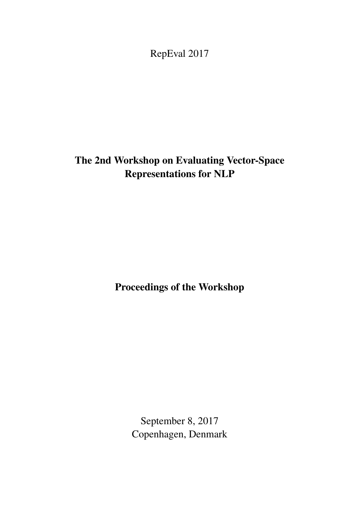<span id="page-0-0"></span>RepEval 2017

# The 2nd Workshop on Evaluating Vector-Space Representations for NLP

Proceedings of the Workshop

September 8, 2017 Copenhagen, Denmark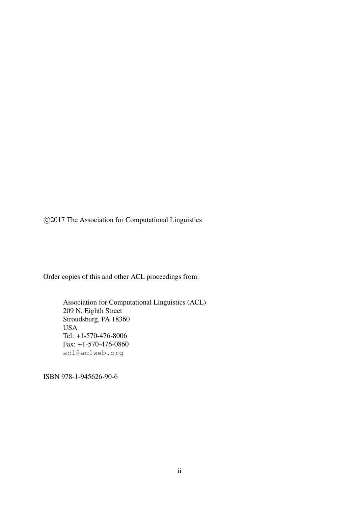c 2017 The Association for Computational Linguistics

Order copies of this and other ACL proceedings from:

Association for Computational Linguistics (ACL) 209 N. Eighth Street Stroudsburg, PA 18360 USA Tel: +1-570-476-8006 Fax: +1-570-476-0860 acl@aclweb.org

ISBN 978-1-945626-90-6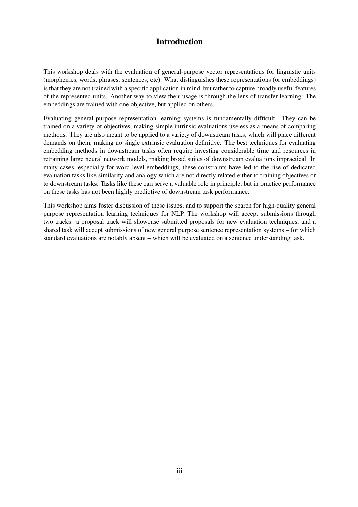## Introduction

This workshop deals with the evaluation of general-purpose vector representations for linguistic units (morphemes, words, phrases, sentences, etc). What distinguishes these representations (or embeddings) is that they are not trained with a specific application in mind, but rather to capture broadly useful features of the represented units. Another way to view their usage is through the lens of transfer learning: The embeddings are trained with one objective, but applied on others.

Evaluating general-purpose representation learning systems is fundamentally difficult. They can be trained on a variety of objectives, making simple intrinsic evaluations useless as a means of comparing methods. They are also meant to be applied to a variety of downstream tasks, which will place different demands on them, making no single extrinsic evaluation definitive. The best techniques for evaluating embedding methods in downstream tasks often require investing considerable time and resources in retraining large neural network models, making broad suites of downstream evaluations impractical. In many cases, especially for word-level embeddings, these constraints have led to the rise of dedicated evaluation tasks like similarity and analogy which are not directly related either to training objectives or to downstream tasks. Tasks like these can serve a valuable role in principle, but in practice performance on these tasks has not been highly predictive of downstream task performance.

This workshop aims foster discussion of these issues, and to support the search for high-quality general purpose representation learning techniques for NLP. The workshop will accept submissions through two tracks: a proposal track will showcase submitted proposals for new evaluation techniques, and a shared task will accept submissions of new general purpose sentence representation systems – for which standard evaluations are notably absent – which will be evaluated on a sentence understanding task.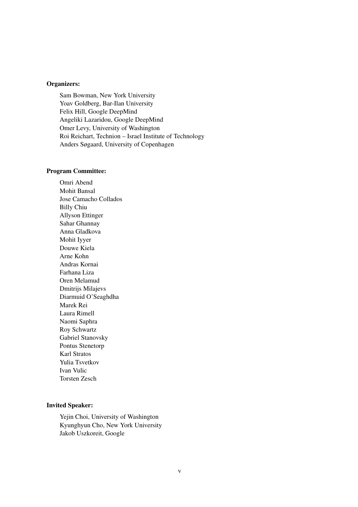#### Organizers:

Sam Bowman, New York University Yoav Goldberg, Bar-Ilan University Felix Hill, Google DeepMind Angeliki Lazaridou, Google DeepMind Omer Levy, University of Washington Roi Reichart, Technion – Israel Institute of Technology Anders Søgaard, University of Copenhagen

#### Program Committee:

Omri Abend Mohit Bansal Jose Camacho Collados Billy Chiu Allyson Ettinger Sahar Ghannay Anna Gladkova Mohit Iyyer Douwe Kiela Arne Kohn Andras Kornai Farhana Liza Oren Melamud Dmitrijs Milajevs Diarmuid O'Seaghdha Marek Rei Laura Rimell Naomi Saphra Roy Schwartz Gabriel Stanovsky Pontus Stenetorp Karl Stratos Yulia Tsvetkov Ivan Vulic Torsten Zesch

#### Invited Speaker:

Yejin Choi, University of Washington Kyunghyun Cho, New York University Jakob Uszkoreit, Google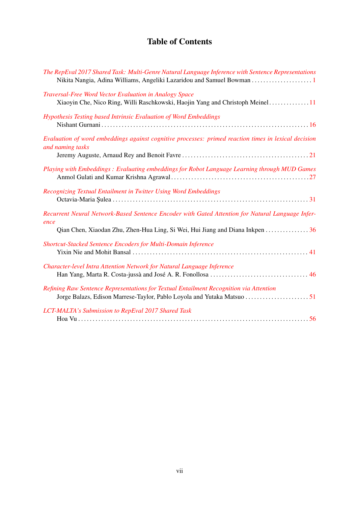## Table of Contents

| The RepEval 2017 Shared Task: Multi-Genre Natural Language Inference with Sentence Representations                                                                                       |
|------------------------------------------------------------------------------------------------------------------------------------------------------------------------------------------|
| Traversal-Free Word Vector Evaluation in Analogy Space<br>Xiaoyin Che, Nico Ring, Willi Raschkowski, Haojin Yang and Christoph Meinel11                                                  |
| Hypothesis Testing based Intrinsic Evaluation of Word Embeddings                                                                                                                         |
| Evaluation of word embeddings against cognitive processes: primed reaction times in lexical decision<br>and naming tasks                                                                 |
| Playing with Embeddings: Evaluating embeddings for Robot Language Learning through MUD Games                                                                                             |
| Recognizing Textual Entailment in Twitter Using Word Embeddings                                                                                                                          |
| Recurrent Neural Network-Based Sentence Encoder with Gated Attention for Natural Language Infer-<br>ence<br>Qian Chen, Xiaodan Zhu, Zhen-Hua Ling, Si Wei, Hui Jiang and Diana Inkpen 36 |
| Shortcut-Stacked Sentence Encoders for Multi-Domain Inference                                                                                                                            |
| Character-level Intra Attention Network for Natural Language Inference                                                                                                                   |
| Refining Raw Sentence Representations for Textual Entailment Recognition via Attention                                                                                                   |
| LCT-MALTA's Submission to RepEval 2017 Shared Task                                                                                                                                       |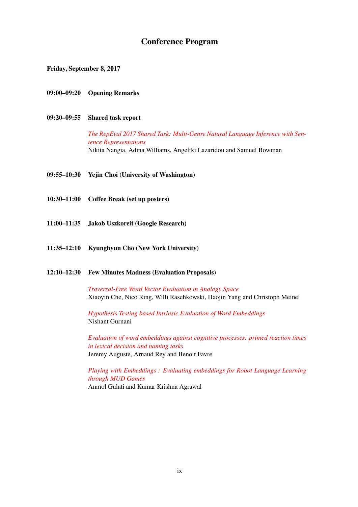## Conference Program

Friday, September 8, 2017

- 09:00–09:20 Opening Remarks
- 09:20–09:55 Shared task report

*[The RepEval 2017 Shared Task: Multi-Genre Natural Language Inference with Sen](#page-0-0)[tence Representations](#page-0-0)* Nikita Nangia, Adina Williams, Angeliki Lazaridou and Samuel Bowman

- 09:55–10:30 Yejin Choi (University of Washington)
- 10:30–11:00 Coffee Break (set up posters)
- 11:00–11:35 Jakob Uszkoreit (Google Research)
- 11:35–12:10 Kyunghyun Cho (New York University)

#### 12:10–12:30 Few Minutes Madness (Evaluation Proposals)

*[Traversal-Free Word Vector Evaluation in Analogy Space](#page-0-0)* Xiaoyin Che, Nico Ring, Willi Raschkowski, Haojin Yang and Christoph Meinel

*[Hypothesis Testing based Intrinsic Evaluation of Word Embeddings](#page-0-0)* Nishant Gurnani

*[Evaluation of word embeddings against cognitive processes: primed reaction times](#page-0-0) [in lexical decision and naming tasks](#page-0-0)* Jeremy Auguste, Arnaud Rey and Benoit Favre

*[Playing with Embeddings : Evaluating embeddings for Robot Language Learning](#page-0-0) [through MUD Games](#page-0-0)* Anmol Gulati and Kumar Krishna Agrawal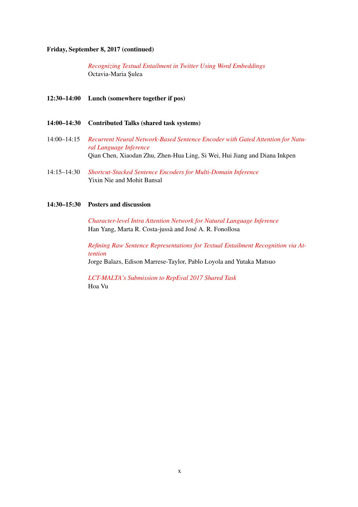#### Friday, September 8, 2017 (continued)

*[Recognizing Textual Entailment in Twitter Using Word Embeddings](#page-0-0)* Octavia-Maria Şulea

- 12:30–14:00 Lunch (somewhere together if pos)
- 14:00–14:30 Contributed Talks (shared task systems)
- 14:00–14:15 *[Recurrent Neural Network-Based Sentence Encoder with Gated Attention for Natu](#page-0-0)[ral Language Inference](#page-0-0)* Qian Chen, Xiaodan Zhu, Zhen-Hua Ling, Si Wei, Hui Jiang and Diana Inkpen
- 14:15–14:30 *[Shortcut-Stacked Sentence Encoders for Multi-Domain Inference](#page-0-0)* Yixin Nie and Mohit Bansal

#### 14:30–15:30 Posters and discussion

*[Character-level Intra Attention Network for Natural Language Inference](#page-0-0)* Han Yang, Marta R. Costa-jussà and José A. R. Fonollosa

*[Refining Raw Sentence Representations for Textual Entailment Recognition via At](#page-0-0)[tention](#page-0-0)* Jorge Balazs, Edison Marrese-Taylor, Pablo Loyola and Yutaka Matsuo

*[LCT-MALTA's Submission to RepEval 2017 Shared Task](#page-0-0)* Hoa Vu